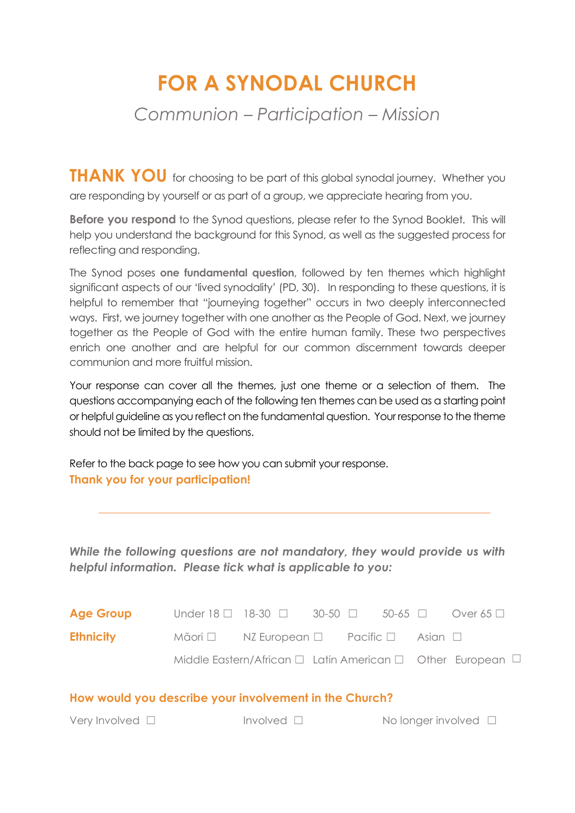# **FOR A SYNODAL CHURCH**

# *Communion – Participation – Mission*

**THANK YOU** for choosing to be part of this global synodal journey. Whether you are responding by yourself or as part of a group, we appreciate hearing from you.

**Before you respond** to the Synod questions, please refer to the Synod Booklet. This will help you understand the background for this Synod, as well as the suggested process for reflecting and responding.

The Synod poses **one fundamental question**, followed by ten themes which highlight significant aspects of our 'lived synodality' (PD, 30). In responding to these questions, it is helpful to remember that "journeying together" occurs in two deeply interconnected ways. First, we journey together with one another as the People of God. Next, we journey together as the People of God with the entire human family. These two perspectives enrich one another and are helpful for our common discernment towards deeper communion and more fruitful mission.

Your response can cover all the themes, just one theme or a selection of them. The questions accompanying each of the following ten themes can be used as a starting point or helpful guideline as you reflect on the fundamental question. Your response to the theme should not be limited by the questions.

Refer to the back page to see how you can submit your response. **Thank you for your participation!** 

*While the following questions are not mandatory, they would provide us with helpful information. Please tick what is applicable to you:* 

| <b>Age Group</b> |                                                                      | Under 18 $\Box$ 18-30 $\Box$ 30-50 $\Box$ 50-65 $\Box$                    |  |  |  | Over 65 $\Box$ |
|------------------|----------------------------------------------------------------------|---------------------------------------------------------------------------|--|--|--|----------------|
| <b>Ethnicity</b> | $M\bar{a}$ ori $\Box$ NZ European $\Box$ Pacific $\Box$ Asian $\Box$ |                                                                           |  |  |  |                |
|                  |                                                                      | Middle Eastern/African $\Box$ Latin American $\Box$ Other European $\Box$ |  |  |  |                |

|  |  |  | How would you describe your involvement in the Church? |
|--|--|--|--------------------------------------------------------|
|--|--|--|--------------------------------------------------------|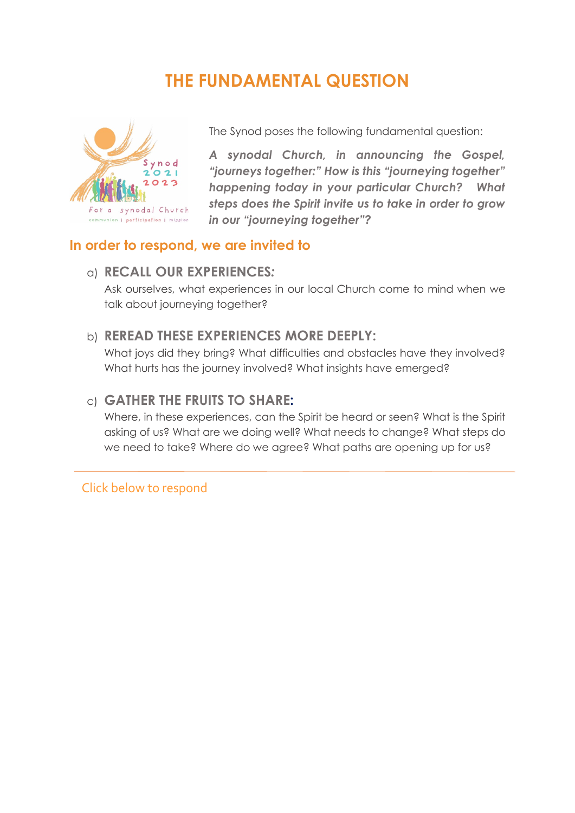# **THE FUNDAMENTAL QUESTION**



The Synod poses the following fundamental question:

*A synodal Church, in announcing the Gospel, "journeys together:" How is this "journeying together" happening today in your particular Church? What steps does the Spirit invite us to take in order to grow in our "journeying together"?* 

#### **In order to respond, we are invited to**

#### a) **RECALL OUR EXPERIENCES***:*

Ask ourselves, what experiences in our local Church come to mind when we talk about journeying together?

#### b) **REREAD THESE EXPERIENCES MORE DEEPLY:**

What joys did they bring? What difficulties and obstacles have they involved? What hurts has the journey involved? What insights have emerged?

#### c) **GATHER THE FRUITS TO SHARE:**

Where, in these experiences, can the Spirit be heard or seen? What is the Spirit asking of us? What are we doing well? What needs to change? What steps do we need to take? Where do we agree? What paths are opening up for us?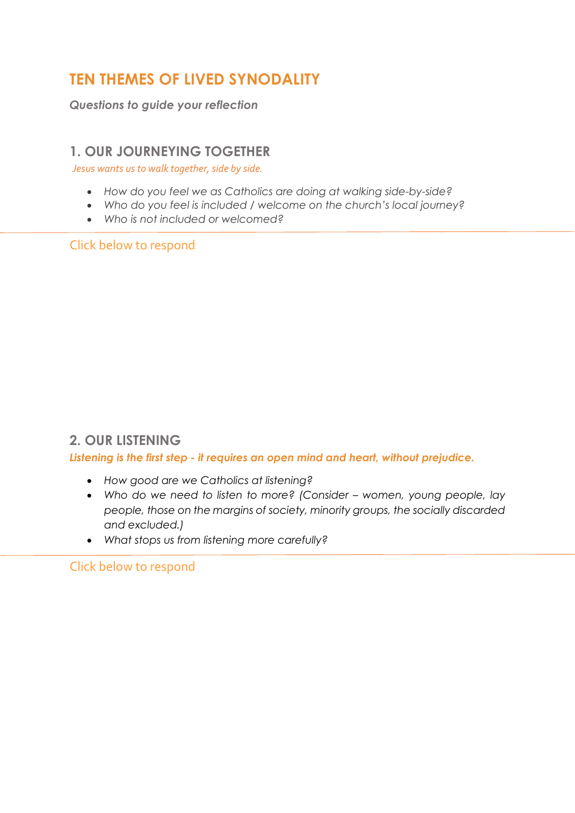# **TEN THEMES OF LIVED SYNODALITY**

*Questions to guide your reflection* 

#### **1. OUR JOURNEYING TOGETHER**

*Jesus wants us to walk together, side by side.*

- *How do you feel we as Catholics are doing at walking side-by-side?*
- *Who do you feel is included / welcome on the church's local journey?*
- *Who is not included or welcomed?*

Click below to respond

## **2. OUR LISTENING**

*Listening is the first step - it requires an open mind and heart, without prejudice.*

- *How good are we Catholics at listening?*
- *Who do we need to listen to more? (Consider women, young people, lay people, those on the margins of society, minority groups, the socially discarded and excluded.)*
- *What stops us from listening more carefully?*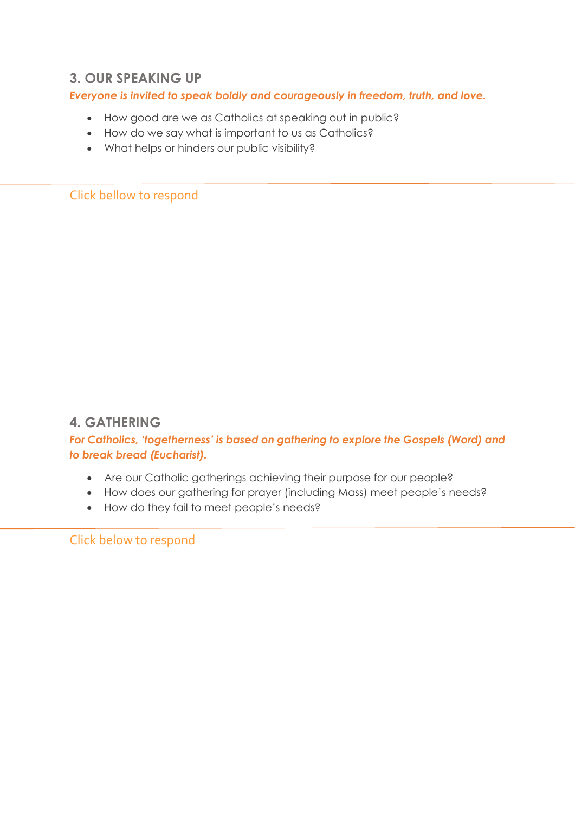#### **3. OUR SPEAKING UP**

#### *Everyone is invited to speak boldly and courageously in freedom, truth, and love.*

- How good are we as Catholics at speaking out in public?
- How do we say what is important to us as Catholics?
- What helps or hinders our public visibility?

Click bellow to respond

## **4. GATHERING**

*For Catholics, 'togetherness' is based on gathering to explore the Gospels (Word) and to break bread (Eucharist).*

- Are our Catholic gatherings achieving their purpose for our people?
- How does our gathering for prayer (including Mass) meet people's needs?
- How do they fail to meet people's needs?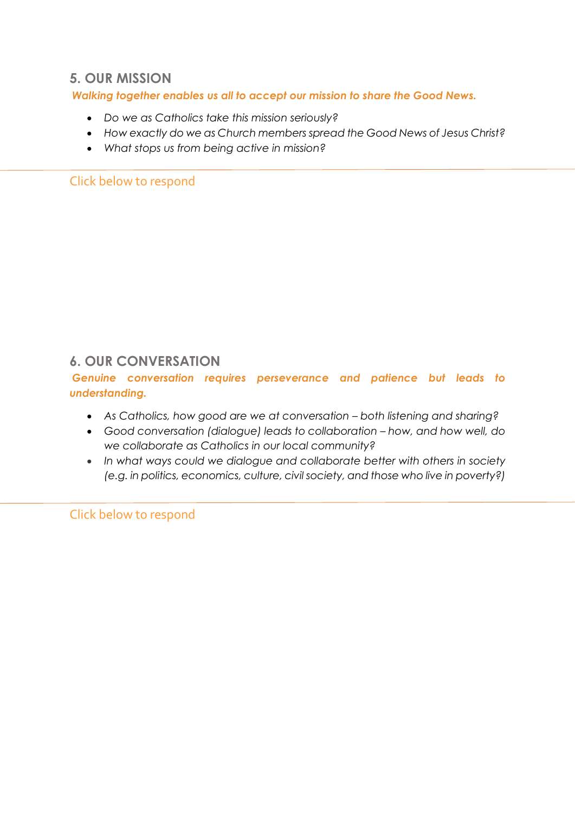#### **5. OUR MISSION**

*Walking together enables us all to accept our mission to share the Good News.*

- *Do we as Catholics take this mission seriously?*
- *How exactly do we as Church members spread the Good News of Jesus Christ?*
- *What stops us from being active in mission?*

Click below to respond

## **6. OUR CONVERSATION**

*Genuine conversation requires perseverance and patience but leads to understanding.*

- *As Catholics, how good are we at conversation both listening and sharing?*
- *Good conversation (dialogue) leads to collaboration how, and how well, do we collaborate as Catholics in our local community?*
- *In what ways could we dialogue and collaborate better with others in society (e.g. in politics, economics, culture, civil society, and those who live in poverty?)*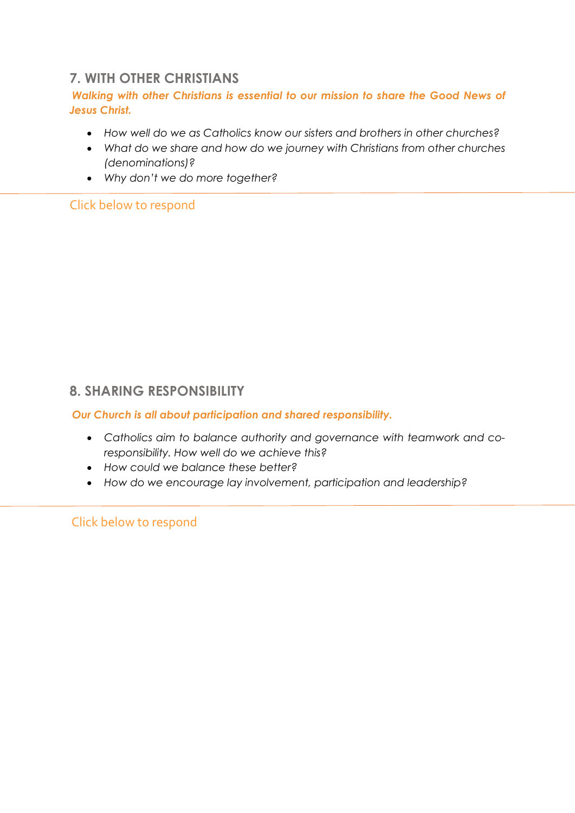# **7. WITH OTHER CHRISTIANS**

#### *Walking with other Christians is essential to our mission to share the Good News of Jesus Christ.*

- *How well do we as Catholics know our sisters and brothers in other churches?*
- *What do we share and how do we journey with Christians from other churches (denominations)?*
- *Why don't we do more together?*

#### Click below to respond

## **8. SHARING RESPONSIBILITY**

*Our Church is all about participation and shared responsibility.* 

- *Catholics aim to balance authority and governance with teamwork and coresponsibility. How well do we achieve this?*
- *How could we balance these better?*
- *How do we encourage lay involvement, participation and leadership?*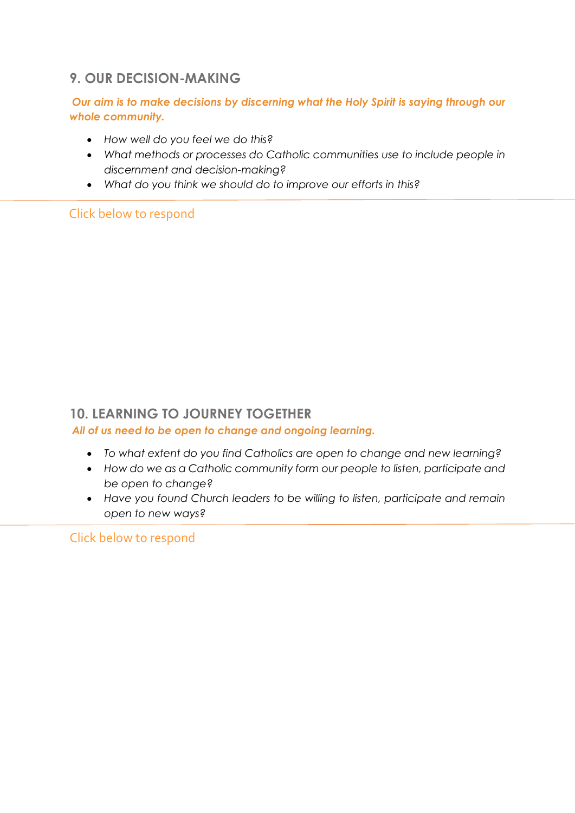# **9. OUR DECISION-MAKING**

#### *Our aim is to make decisions by discerning what the Holy Spirit is saying through our whole community.*

- *How well do you feel we do this?*
- *What methods or processes do Catholic communities use to include people in discernment and decision-making?*
- *What do you think we should do to improve our efforts in this?*

Click below to respond

## **10. LEARNING TO JOURNEY TOGETHER**

*All of us need to be open to change and ongoing learning.*

- *To what extent do you find Catholics are open to change and new learning?*
- *How do we as a Catholic community form our people to listen, participate and be open to change?*
- *Have you found Church leaders to be willing to listen, participate and remain open to new ways?*